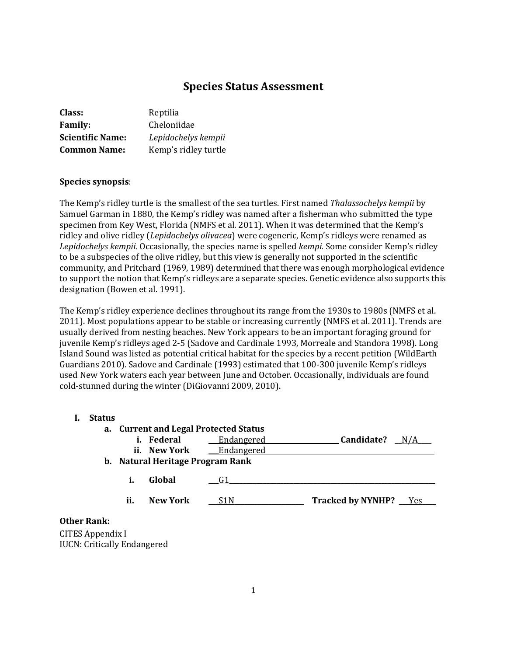# **Species Status Assessment**

| <b>Class:</b>           | Reptilia             |
|-------------------------|----------------------|
| <b>Family:</b>          | Cheloniidae          |
| <b>Scientific Name:</b> | Lepidochelys kempii  |
| <b>Common Name:</b>     | Kemp's ridley turtle |

### **Species synopsis**:

The Kemp's ridley turtle is the smallest of the sea turtles. First named *Thalassochelys kempii* by Samuel Garman in 1880, the Kemp's ridley was named after a fisherman who submitted the type specimen from Key West, Florida (NMFS et al. 2011). When it was determined that the Kemp's ridley and olive ridley (*Lepidochelys olivacea*) were cogeneric, Kemp's ridleys were renamed as *Lepidochelys kempii.* Occasionally, the species name is spelled *kempi.* Some consider Kemp's ridley to be a subspecies of the olive ridley, but this view is generally not supported in the scientific community, and Pritchard (1969, 1989) determined that there was enough morphological evidence to support the notion that Kemp's ridleys are a separate species. Genetic evidence also supports this designation (Bowen et al. 1991).

The Kemp's ridley experience declines throughout its range from the 1930s to 1980s (NMFS et al. 2011). Most populations appear to be stable or increasing currently (NMFS et al. 2011). Trends are usually derived from nesting beaches. New York appears to be an important foraging ground for juvenile Kemp's ridleys aged 2-5 (Sadove and Cardinale 1993, Morreale and Standora 1998). Long Island Sound was listed as potential critical habitat for the species by a recent petition (WildEarth Guardians 2010). Sadove and Cardinale (1993) estimated that 100-300 juvenile Kemp's ridleys used New York waters each year between June and October. Occasionally, individuals are found cold-stunned during the winter (DiGiovanni 2009, 2010).

### **I. Status**

| а.   |     | <b>Current and Legal Protected Status</b> |            |                       |
|------|-----|-------------------------------------------|------------|-----------------------|
|      |     | i. Federal                                | Endangered | Candidate?<br>N/A     |
|      |     | ii. New York                              | Endangered |                       |
|      |     | b. Natural Heritage Program Rank          |            |                       |
|      | i.  | Global                                    |            |                       |
|      | ii. | <b>New York</b>                           | S1 N       | Tracked by NYNHP? Yes |
| ank• |     |                                           |            |                       |

### **Other Rank:**

CITES Appendix I IUCN: Critically Endangered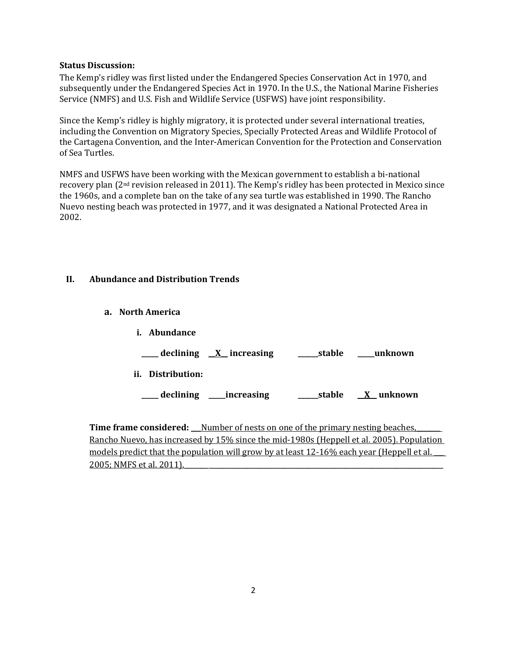### **Status Discussion:**

The Kemp's ridley was first listed under the Endangered Species Conservation Act in 1970, and subsequently under the Endangered Species Act in 1970. In the U.S., the National Marine Fisheries Service (NMFS) and U.S. Fish and Wildlife Service (USFWS) have joint responsibility.

Since the Kemp's ridley is highly migratory, it is protected under several international treaties, including the Convention on Migratory Species, Specially Protected Areas and Wildlife Protocol of the Cartagena Convention, and the Inter-American Convention for the Protection and Conservation of Sea Turtles.

NMFS and USFWS have been working with the Mexican government to establish a bi-national recovery plan  $(2<sup>nd</sup>$  revision released in 2011). The Kemp's ridley has been protected in Mexico since the 1960s, and a complete ban on the take of any sea turtle was established in 1990. The Rancho Nuevo nesting beach was protected in 1977, and it was designated a National Protected Area in 2002.

## **II. Abundance and Distribution Trends**

**a. North America**

| i.  | Abundance     |                          |        |           |
|-----|---------------|--------------------------|--------|-----------|
|     |               | declining $X$ increasing | stable | unknown   |
| ii. | Distribution: |                          |        |           |
|     | declining     | increasing               | stable | X unknown |

**Time frame considered:** Number of nests on one of the primary nesting beaches, Rancho Nuevo, has increased by 15% since the mid-1980s (Heppell et al. 2005). Population models predict that the population will grow by at least 12-16% each year (Heppell et al. 2005; NMFS et al. 2011).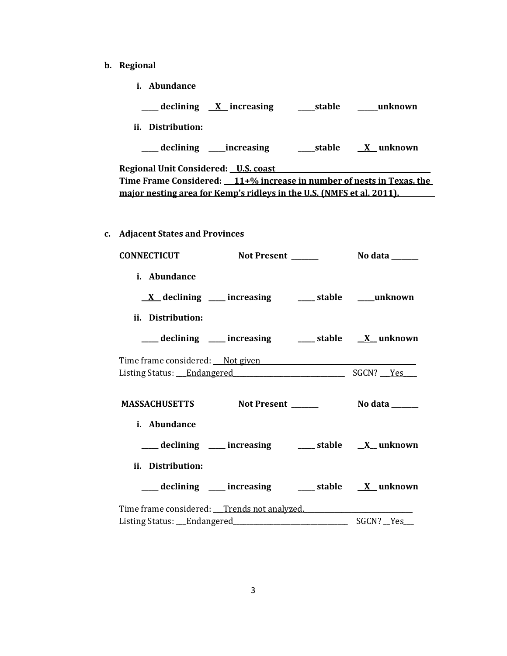- **b. Regional** 
	- **i. Abundance**

| ___ declining <u>X</u> increasing ______stable ______unknown                                                                                                                            |                 |
|-----------------------------------------------------------------------------------------------------------------------------------------------------------------------------------------|-----------------|
| ii. Distribution:                                                                                                                                                                       |                 |
| ___ declining ____increasing ______stable _____X_unknown                                                                                                                                |                 |
| Regional Unit Considered: U.S. coast Manual Allen Manual Allen Manual Allen Manual Allen Manual Allen Manual A<br>Time Frame Considered: 11+% increase in number of nests in Texas, the |                 |
| major nesting area for Kemp's ridleys in the U.S. (NMFS et al. 2011).                                                                                                                   |                 |
|                                                                                                                                                                                         |                 |
| c. Adjacent States and Provinces                                                                                                                                                        |                 |
| <b>CONNECTICUT</b><br>Not Present                                                                                                                                                       | No data _______ |
| i. Abundance                                                                                                                                                                            |                 |
| <u>X</u> declining ___ increasing ___ stable ___ unknown                                                                                                                                |                 |
| ii. Distribution:                                                                                                                                                                       |                 |
| ___ declining ___ increasing ___ stable __ X_unknown                                                                                                                                    |                 |
|                                                                                                                                                                                         |                 |
| Listing Status: Endangered SGCN? Yes                                                                                                                                                    |                 |
| MASSACHUSETTS Not Present ________ No data ______                                                                                                                                       |                 |
| i. Abundance                                                                                                                                                                            |                 |
| ___ declining ___ increasing ___ stable __ X_unknown                                                                                                                                    |                 |
| ii. Distribution:                                                                                                                                                                       |                 |
| ___ declining ___ increasing ___ stable __ X_unknown                                                                                                                                    |                 |
| Time frame considered: Trends not analyzed.                                                                                                                                             |                 |
| Listing Status: Endangered                                                                                                                                                              | SGCN? Yes       |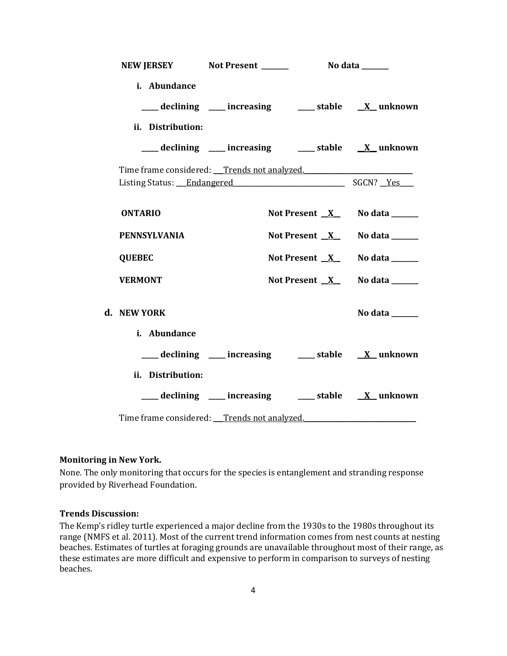| NEW JERSEY Not Present _______                                                      | No data _______                                                  |                |
|-------------------------------------------------------------------------------------|------------------------------------------------------------------|----------------|
| i. Abundance                                                                        | ___declining ___ increasing ____ stable __ <u>X</u> _unknown     |                |
| ii. Distribution:                                                                   | ___ declining ___ increasing ___ stable __ X_unknown             |                |
| Time frame considered: Trends not analyzed.<br>Listing Status: Endangered SGCN? Yes |                                                                  |                |
| <b>ONTARIO</b>                                                                      | Not Present $X$ No data $\frac{1}{1}$                            |                |
| <b>PENNSYLVANIA</b>                                                                 | Not Present $X$ No data _______                                  |                |
| <b>QUEBEC</b>                                                                       | Not Present $X$ No data ______                                   |                |
| <b>VERMONT</b>                                                                      | Not Present $X$ No data $\frac{1}{1}$                            |                |
| d. NEW YORK                                                                         |                                                                  | No data ______ |
| i. Abundance                                                                        | declining ___ increasing ___ stable __ X_unknown                 |                |
| ii. Distribution:                                                                   | ____ declining ____ increasing _____ stable __ <u>X</u> _unknown |                |
| Time frame considered: Trends not analyzed.                                         |                                                                  |                |

### **Monitoring in New York.**

None. The only monitoring that occurs for the species is entanglement and stranding response provided by Riverhead Foundation.

### **Trends Discussion:**

The Kemp's ridley turtle experienced a major decline from the 1930s to the 1980s throughout its range (NMFS et al. 2011). Most of the current trend information comes from nest counts at nesting beaches. Estimates of turtles at foraging grounds are unavailable throughout most of their range, as these estimates are more difficult and expensive to perform in comparison to surveys of nesting beaches.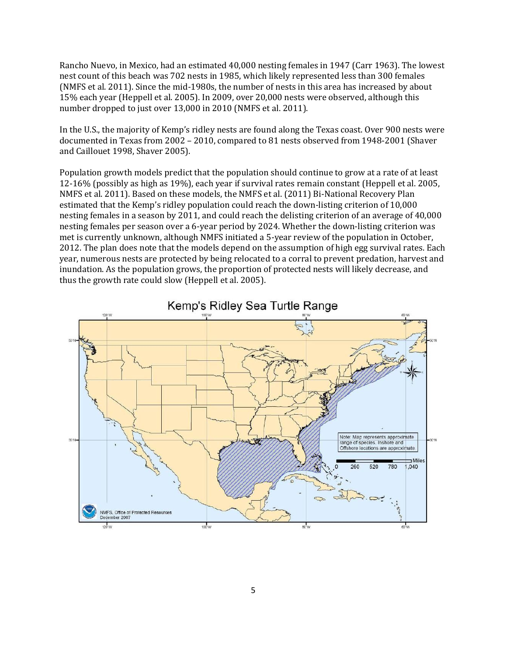Rancho Nuevo, in Mexico, had an estimated 40,000 nesting females in 1947 (Carr 1963). The lowest nest count of this beach was 702 nests in 1985, which likely represented less than 300 females (NMFS et al. 2011). Since the mid-1980s, the number of nests in this area has increased by about 15% each year (Heppell et al. 2005). In 2009, over 20,000 nests were observed, although this number dropped to just over 13,000 in 2010 (NMFS et al. 2011).

In the U.S., the majority of Kemp's ridley nests are found along the Texas coast. Over 900 nests were documented in Texas from 2002 – 2010, compared to 81 nests observed from 1948-2001 (Shaver and Caillouet 1998, Shaver 2005).

Population growth models predict that the population should continue to grow at a rate of at least 12-16% (possibly as high as 19%), each year if survival rates remain constant (Heppell et al. 2005, NMFS et al. 2011). Based on these models, the NMFS et al. (2011) Bi-National Recovery Plan estimated that the Kemp's ridley population could reach the down-listing criterion of 10,000 nesting females in a season by 2011, and could reach the delisting criterion of an average of 40,000 nesting females per season over a 6-year period by 2024. Whether the down-listing criterion was met is currently unknown, although NMFS initiated a 5-year review of the population in October, 2012. The plan does note that the models depend on the assumption of high egg survival rates. Each year, numerous nests are protected by being relocated to a corral to prevent predation, harvest and inundation. As the population grows, the proportion of protected nests will likely decrease, and thus the growth rate could slow (Heppell et al. 2005).



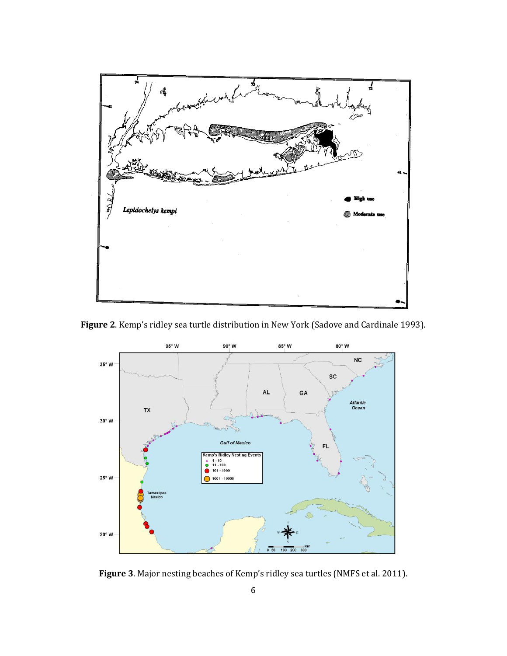

**Figure 2**. Kemp's ridley sea turtle distribution in New York (Sadove and Cardinale 1993).



**Figure 3**. Major nesting beaches of Kemp's ridley sea turtles (NMFS et al. 2011).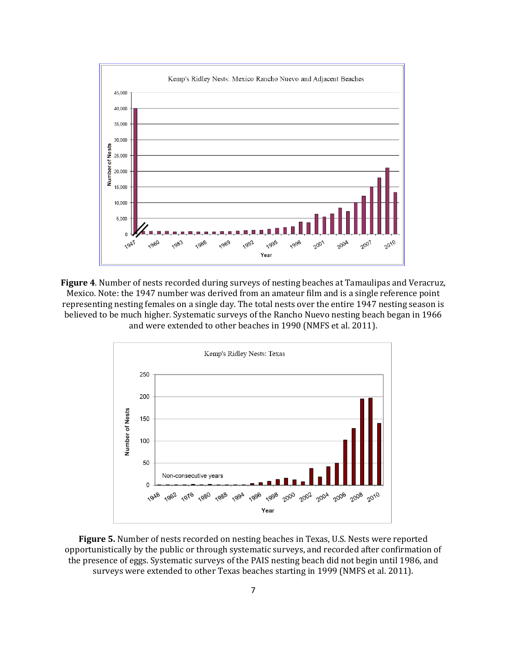

**Figure 4**. Number of nests recorded during surveys of nesting beaches at Tamaulipas and Veracruz, Mexico. Note: the 1947 number was derived from an amateur film and is a single reference point representing nesting females on a single day. The total nests over the entire 1947 nesting season is believed to be much higher. Systematic surveys of the Rancho Nuevo nesting beach began in 1966 and were extended to other beaches in 1990 (NMFS et al. 2011).



**Figure 5.** Number of nests recorded on nesting beaches in Texas, U.S. Nests were reported opportunistically by the public or through systematic surveys, and recorded after confirmation of the presence of eggs. Systematic surveys of the PAIS nesting beach did not begin until 1986, and surveys were extended to other Texas beaches starting in 1999 (NMFS et al. 2011).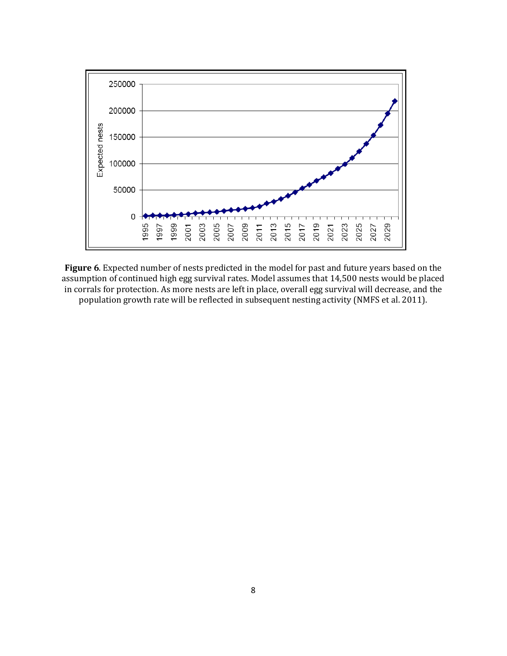

**Figure 6**. Expected number of nests predicted in the model for past and future years based on the assumption of continued high egg survival rates. Model assumes that 14,500 nests would be placed in corrals for protection. As more nests are left in place, overall egg survival will decrease, and the population growth rate will be reflected in subsequent nesting activity (NMFS et al. 2011).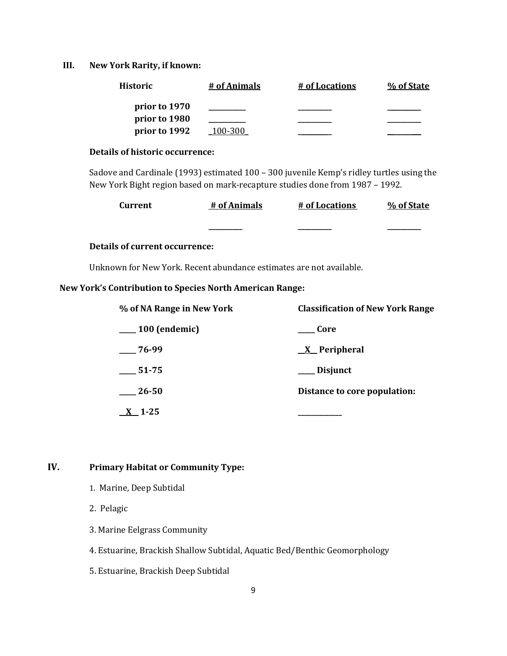**III. New York Rarity, if known:**

| <b>Historic</b> | # of Animals | # of Locations | % of State |
|-----------------|--------------|----------------|------------|
| prior to 1970   |              |                |            |
| prior to 1980   |              |                |            |
| prior to 1992   | 100-300      |                |            |

#### **Details of historic occurrence:**

Sadove and Cardinale (1993) estimated 100 – 300 juvenile Kemp's ridley turtles using the New York Bight region based on mark-recapture studies done from 1987 – 1992.

| Current | # of Animals | # of Locations | % of State |
|---------|--------------|----------------|------------|
|         | _______      | _________      |            |

## **Details of current occurrence:**

Unknown for New York. Recent abundance estimates are not available.

## **New York's Contribution to Species North American Range:**

| % of NA Range in New York | <b>Classification of New York Range</b> |  |
|---------------------------|-----------------------------------------|--|
| $\frac{100}{2}$ (endemic) | Core                                    |  |
| $-76-99$                  | <u>X</u> Peripheral                     |  |
| 51-75                     | ___ Disjunct                            |  |
| 26-50                     | Distance to core population:            |  |
| $\underline{X}$ 1-25      |                                         |  |

## **IV. Primary Habitat or Community Type:**

- 1. Marine, Deep Subtidal
- 2. Pelagic
- 3. Marine Eelgrass Community
- 4. Estuarine, Brackish Shallow Subtidal, Aquatic Bed/Benthic Geomorphology
- 5. Estuarine, Brackish Deep Subtidal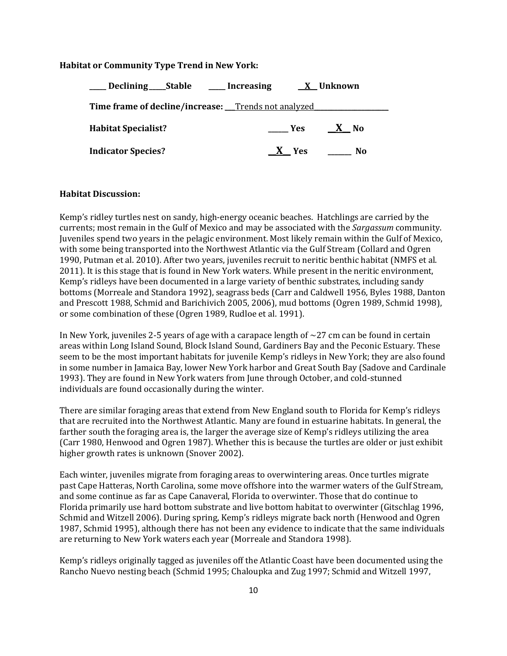### **Habitat or Community Type Trend in New York:**

| ____ Declining ____ Stable _____ Increasing         |                          | X Unknown |
|-----------------------------------------------------|--------------------------|-----------|
| Time frame of decline/increase: Trends not analyzed |                          |           |
| <b>Habitat Specialist?</b>                          | $\rule{1em}{0.15mm}$ Yes | $X$ No    |
| <b>Indicator Species?</b>                           | X Yes                    | No        |

### **Habitat Discussion:**

Kemp's ridley turtles nest on sandy, high-energy oceanic beaches. Hatchlings are carried by the currents; most remain in the Gulf of Mexico and may be associated with the *Sargassum* community. Juveniles spend two years in the pelagic environment. Most likely remain within the Gulf of Mexico, with some being transported into the Northwest Atlantic via the Gulf Stream (Collard and Ogren 1990, Putman et al. 2010). After two years, juveniles recruit to neritic benthic habitat (NMFS et al. 2011). It is this stage that is found in New York waters. While present in the neritic environment, Kemp's ridleys have been documented in a large variety of benthic substrates, including sandy bottoms (Morreale and Standora 1992), seagrass beds (Carr and Caldwell 1956, Byles 1988, Danton and Prescott 1988, Schmid and Barichivich 2005, 2006), mud bottoms (Ogren 1989, Schmid 1998), or some combination of these (Ogren 1989, Rudloe et al. 1991).

In New York, juveniles 2-5 years of age with a carapace length of  $\sim$  27 cm can be found in certain areas within Long Island Sound, Block Island Sound, Gardiners Bay and the Peconic Estuary. These seem to be the most important habitats for juvenile Kemp's ridleys in New York; they are also found in some number in Jamaica Bay, lower New York harbor and Great South Bay (Sadove and Cardinale 1993). They are found in New York waters from June through October, and cold-stunned individuals are found occasionally during the winter.

There are similar foraging areas that extend from New England south to Florida for Kemp's ridleys that are recruited into the Northwest Atlantic. Many are found in estuarine habitats. In general, the farther south the foraging area is, the larger the average size of Kemp's ridleys utilizing the area (Carr 1980, Henwood and Ogren 1987). Whether this is because the turtles are older or just exhibit higher growth rates is unknown (Snover 2002).

Each winter, juveniles migrate from foraging areas to overwintering areas. Once turtles migrate past Cape Hatteras, North Carolina, some move offshore into the warmer waters of the Gulf Stream, and some continue as far as Cape Canaveral, Florida to overwinter. Those that do continue to Florida primarily use hard bottom substrate and live bottom habitat to overwinter (Gitschlag 1996, Schmid and Witzell 2006). During spring, Kemp's ridleys migrate back north (Henwood and Ogren 1987, Schmid 1995), although there has not been any evidence to indicate that the same individuals are returning to New York waters each year (Morreale and Standora 1998).

Kemp's ridleys originally tagged as juveniles off the Atlantic Coast have been documented using the Rancho Nuevo nesting beach (Schmid 1995; Chaloupka and Zug 1997; Schmid and Witzell 1997,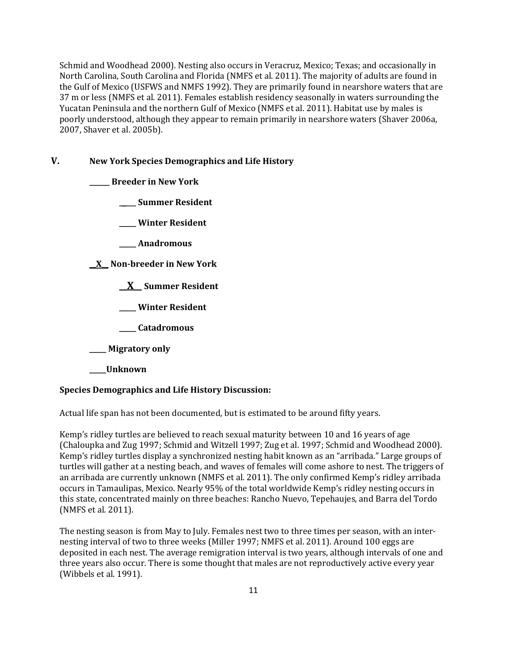Schmid and Woodhead 2000). Nesting also occurs in Veracruz, Mexico; Texas; and occasionally in North Carolina, South Carolina and Florida (NMFS et al. 2011). The majority of adults are found in the Gulf of Mexico (USFWS and NMFS 1992). They are primarily found in nearshore waters that are 37 m or less (NMFS et al. 2011). Females establish residency seasonally in waters surrounding the Yucatan Peninsula and the northern Gulf of Mexico (NMFS et al. 2011). Habitat use by males is poorly understood, although they appear to remain primarily in nearshore waters (Shaver 2006a, 2007, Shaver et al. 2005b).

### **V. New York Species Demographics and Life History**

**\_\_\_\_\_\_ Breeder in New York**

**\_\_\_\_\_ Summer Resident**

**\_\_\_\_\_ Winter Resident**

**\_\_\_\_\_ Anadromous**

**\_\_X\_\_ Non-breeder in New York**

**\_\_X\_\_ Summer Resident**

**\_\_\_\_\_ Winter Resident**

**\_\_\_\_\_ Catadromous**

**\_\_\_\_\_ Migratory only**

**\_\_\_\_\_Unknown**

### **Species Demographics and Life History Discussion:**

Actual life span has not been documented, but is estimated to be around fifty years.

Kemp's ridley turtles are believed to reach sexual maturity between 10 and 16 years of age (Chaloupka and Zug 1997; Schmid and Witzell 1997; Zug et al. 1997; Schmid and Woodhead 2000). Kemp's ridley turtles display a synchronized nesting habit known as an "arribada." Large groups of turtles will gather at a nesting beach, and waves of females will come ashore to nest. The triggers of an arribada are currently unknown (NMFS et al. 2011). The only confirmed Kemp's ridley arribada occurs in Tamaulipas, Mexico. Nearly 95% of the total worldwide Kemp's ridley nesting occurs in this state, concentrated mainly on three beaches: Rancho Nuevo, Tepehaujes, and Barra del Tordo (NMFS et al. 2011).

The nesting season is from May to July. Females nest two to three times per season, with an internesting interval of two to three weeks (Miller 1997; NMFS et al. 2011). Around 100 eggs are deposited in each nest. The average remigration interval is two years, although intervals of one and three years also occur. There is some thought that males are not reproductively active every year (Wibbels et al. 1991).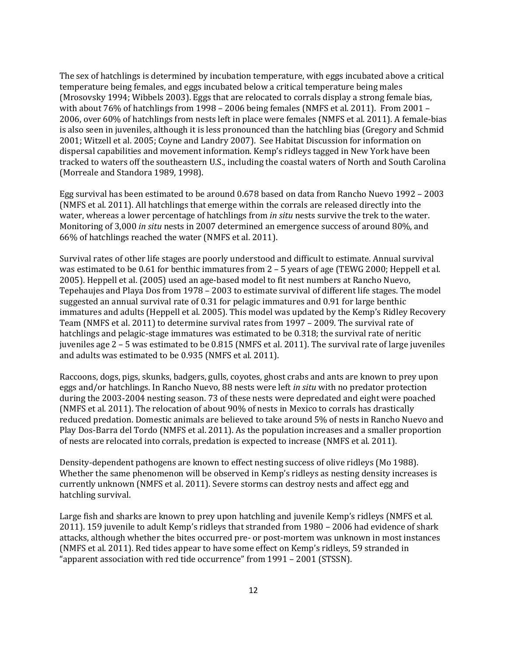The sex of hatchlings is determined by incubation temperature, with eggs incubated above a critical temperature being females, and eggs incubated below a critical temperature being males (Mrosovsky 1994; Wibbels 2003). Eggs that are relocated to corrals display a strong female bias, with about 76% of hatchlings from 1998 – 2006 being females (NMFS et al. 2011). From 2001 – 2006, over 60% of hatchlings from nests left in place were females (NMFS et al. 2011). A female-bias is also seen in juveniles, although it is less pronounced than the hatchling bias (Gregory and Schmid 2001; Witzell et al. 2005; Coyne and Landry 2007). See Habitat Discussion for information on dispersal capabilities and movement information. Kemp's ridleys tagged in New York have been tracked to waters off the southeastern U.S., including the coastal waters of North and South Carolina (Morreale and Standora 1989, 1998).

Egg survival has been estimated to be around 0.678 based on data from Rancho Nuevo 1992 – 2003 (NMFS et al. 2011). All hatchlings that emerge within the corrals are released directly into the water, whereas a lower percentage of hatchlings from *in situ* nests survive the trek to the water. Monitoring of 3,000 *in situ* nests in 2007 determined an emergence success of around 80%, and 66% of hatchlings reached the water (NMFS et al. 2011).

Survival rates of other life stages are poorly understood and difficult to estimate. Annual survival was estimated to be 0.61 for benthic immatures from 2 – 5 years of age (TEWG 2000; Heppell et al. 2005). Heppell et al. (2005) used an age-based model to fit nest numbers at Rancho Nuevo, Tepehaujes and Playa Dos from 1978 – 2003 to estimate survival of different life stages. The model suggested an annual survival rate of 0.31 for pelagic immatures and 0.91 for large benthic immatures and adults (Heppell et al. 2005). This model was updated by the Kemp's Ridley Recovery Team (NMFS et al. 2011) to determine survival rates from 1997 – 2009. The survival rate of hatchlings and pelagic-stage immatures was estimated to be 0.318; the survival rate of neritic juveniles age 2 – 5 was estimated to be 0.815 (NMFS et al. 2011). The survival rate of large juveniles and adults was estimated to be 0.935 (NMFS et al. 2011).

Raccoons, dogs, pigs, skunks, badgers, gulls, coyotes, ghost crabs and ants are known to prey upon eggs and/or hatchlings. In Rancho Nuevo, 88 nests were left *in situ* with no predator protection during the 2003-2004 nesting season. 73 of these nests were depredated and eight were poached (NMFS et al. 2011). The relocation of about 90% of nests in Mexico to corrals has drastically reduced predation. Domestic animals are believed to take around 5% of nests in Rancho Nuevo and Play Dos-Barra del Tordo (NMFS et al. 2011). As the population increases and a smaller proportion of nests are relocated into corrals, predation is expected to increase (NMFS et al. 2011).

Density-dependent pathogens are known to effect nesting success of olive ridleys (Mo 1988). Whether the same phenomenon will be observed in Kemp's ridleys as nesting density increases is currently unknown (NMFS et al. 2011). Severe storms can destroy nests and affect egg and hatchling survival.

Large fish and sharks are known to prey upon hatchling and juvenile Kemp's ridleys (NMFS et al. 2011). 159 juvenile to adult Kemp's ridleys that stranded from 1980 – 2006 had evidence of shark attacks, although whether the bites occurred pre- or post-mortem was unknown in most instances (NMFS et al. 2011). Red tides appear to have some effect on Kemp's ridleys, 59 stranded in "apparent association with red tide occurrence" from 1991 – 2001 (STSSN).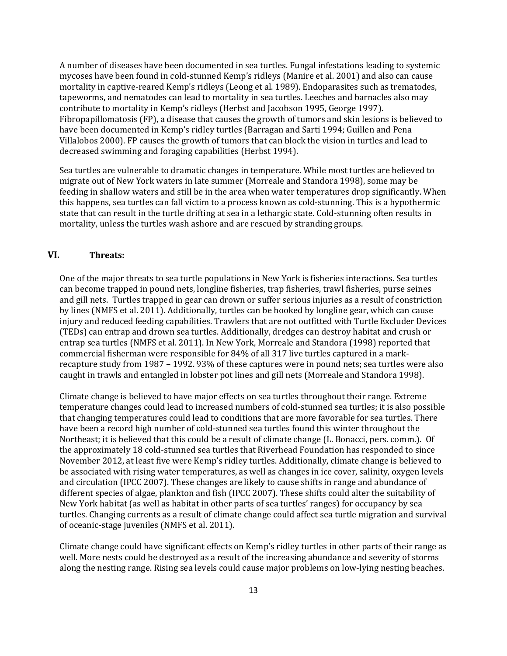A number of diseases have been documented in sea turtles. Fungal infestations leading to systemic mycoses have been found in cold-stunned Kemp's ridleys (Manire et al. 2001) and also can cause mortality in captive-reared Kemp's ridleys (Leong et al. 1989). Endoparasites such as trematodes, tapeworms, and nematodes can lead to mortality in sea turtles. Leeches and barnacles also may contribute to mortality in Kemp's ridleys (Herbst and Jacobson 1995, George 1997). Fibropapillomatosis (FP), a disease that causes the growth of tumors and skin lesions is believed to have been documented in Kemp's ridley turtles (Barragan and Sarti 1994; Guillen and Pena Villalobos 2000). FP causes the growth of tumors that can block the vision in turtles and lead to decreased swimming and foraging capabilities (Herbst 1994).

Sea turtles are vulnerable to dramatic changes in temperature. While most turtles are believed to migrate out of New York waters in late summer (Morreale and Standora 1998), some may be feeding in shallow waters and still be in the area when water temperatures drop significantly. When this happens, sea turtles can fall victim to a process known as cold-stunning. This is a hypothermic state that can result in the turtle drifting at sea in a lethargic state. Cold-stunning often results in mortality, unless the turtles wash ashore and are rescued by stranding groups.

## **VI. Threats:**

One of the major threats to sea turtle populations in New York is fisheries interactions. Sea turtles can become trapped in pound nets, longline fisheries, trap fisheries, trawl fisheries, purse seines and gill nets. Turtles trapped in gear can drown or suffer serious injuries as a result of constriction by lines (NMFS et al. 2011). Additionally, turtles can be hooked by longline gear, which can cause injury and reduced feeding capabilities. Trawlers that are not outfitted with Turtle Excluder Devices (TEDs) can entrap and drown sea turtles. Additionally, dredges can destroy habitat and crush or entrap sea turtles (NMFS et al. 2011). In New York, Morreale and Standora (1998) reported that commercial fisherman were responsible for 84% of all 317 live turtles captured in a markrecapture study from 1987 – 1992. 93% of these captures were in pound nets; sea turtles were also caught in trawls and entangled in lobster pot lines and gill nets (Morreale and Standora 1998).

Climate change is believed to have major effects on sea turtles throughout their range. Extreme temperature changes could lead to increased numbers of cold-stunned sea turtles; it is also possible that changing temperatures could lead to conditions that are more favorable for sea turtles. There have been a record high number of cold-stunned sea turtles found this winter throughout the Northeast; it is believed that this could be a result of climate change (L. Bonacci, pers. comm.). Of the approximately 18 cold-stunned sea turtles that Riverhead Foundation has responded to since November 2012, at least five were Kemp's ridley turtles. Additionally, climate change is believed to be associated with rising water temperatures, as well as changes in ice cover, salinity, oxygen levels and circulation (IPCC 2007). These changes are likely to cause shifts in range and abundance of different species of algae, plankton and fish (IPCC 2007). These shifts could alter the suitability of New York habitat (as well as habitat in other parts of sea turtles' ranges) for occupancy by sea turtles. Changing currents as a result of climate change could affect sea turtle migration and survival of oceanic-stage juveniles (NMFS et al. 2011).

Climate change could have significant effects on Kemp's ridley turtles in other parts of their range as well. More nests could be destroyed as a result of the increasing abundance and severity of storms along the nesting range. Rising sea levels could cause major problems on low-lying nesting beaches.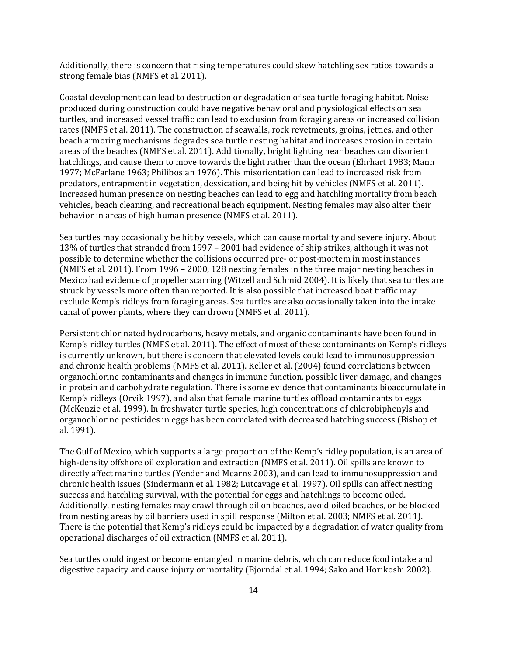Additionally, there is concern that rising temperatures could skew hatchling sex ratios towards a strong female bias (NMFS et al. 2011).

Coastal development can lead to destruction or degradation of sea turtle foraging habitat. Noise produced during construction could have negative behavioral and physiological effects on sea turtles, and increased vessel traffic can lead to exclusion from foraging areas or increased collision rates (NMFS et al. 2011). The construction of seawalls, rock revetments, groins, jetties, and other beach armoring mechanisms degrades sea turtle nesting habitat and increases erosion in certain areas of the beaches (NMFS et al. 2011). Additionally, bright lighting near beaches can disorient hatchlings, and cause them to move towards the light rather than the ocean (Ehrhart 1983; Mann 1977; McFarlane 1963; Philibosian 1976). This misorientation can lead to increased risk from predators, entrapment in vegetation, dessication, and being hit by vehicles (NMFS et al. 2011). Increased human presence on nesting beaches can lead to egg and hatchling mortality from beach vehicles, beach cleaning, and recreational beach equipment. Nesting females may also alter their behavior in areas of high human presence (NMFS et al. 2011).

Sea turtles may occasionally be hit by vessels, which can cause mortality and severe injury. About 13% of turtles that stranded from 1997 – 2001 had evidence of ship strikes, although it was not possible to determine whether the collisions occurred pre- or post-mortem in most instances (NMFS et al. 2011). From 1996 – 2000, 128 nesting females in the three major nesting beaches in Mexico had evidence of propeller scarring (Witzell and Schmid 2004). It is likely that sea turtles are struck by vessels more often than reported. It is also possible that increased boat traffic may exclude Kemp's ridleys from foraging areas. Sea turtles are also occasionally taken into the intake canal of power plants, where they can drown (NMFS et al. 2011).

Persistent chlorinated hydrocarbons, heavy metals, and organic contaminants have been found in Kemp's ridley turtles (NMFS et al. 2011). The effect of most of these contaminants on Kemp's ridleys is currently unknown, but there is concern that elevated levels could lead to immunosuppression and chronic health problems (NMFS et al. 2011). Keller et al. (2004) found correlations between organochlorine contaminants and changes in immune function, possible liver damage, and changes in protein and carbohydrate regulation. There is some evidence that contaminants bioaccumulate in Kemp's ridleys (Orvik 1997), and also that female marine turtles offload contaminants to eggs (McKenzie et al. 1999). In freshwater turtle species, high concentrations of chlorobiphenyls and organochlorine pesticides in eggs has been correlated with decreased hatching success (Bishop et al. 1991).

The Gulf of Mexico, which supports a large proportion of the Kemp's ridley population, is an area of high-density offshore oil exploration and extraction (NMFS et al. 2011). Oil spills are known to directly affect marine turtles (Yender and Mearns 2003), and can lead to immunosuppression and chronic health issues (Sindermann et al. 1982; Lutcavage et al. 1997). Oil spills can affect nesting success and hatchling survival, with the potential for eggs and hatchlings to become oiled. Additionally, nesting females may crawl through oil on beaches, avoid oiled beaches, or be blocked from nesting areas by oil barriers used in spill response (Milton et al. 2003; NMFS et al. 2011). There is the potential that Kemp's ridleys could be impacted by a degradation of water quality from operational discharges of oil extraction (NMFS et al. 2011).

Sea turtles could ingest or become entangled in marine debris, which can reduce food intake and digestive capacity and cause injury or mortality (Bjorndal et al. 1994; Sako and Horikoshi 2002).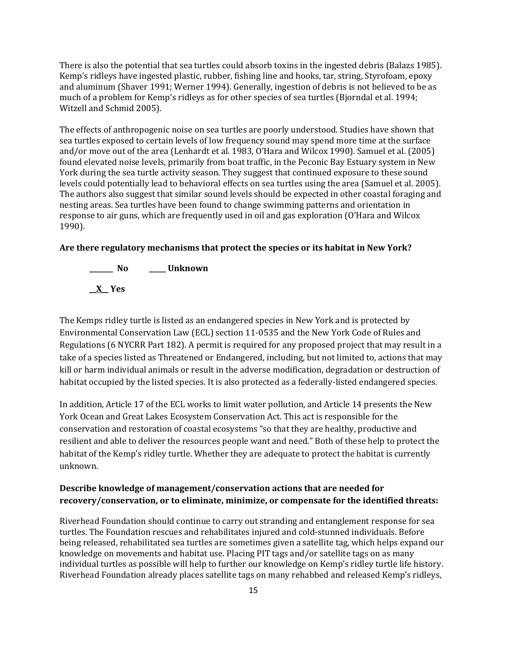There is also the potential that sea turtles could absorb toxins in the ingested debris (Balazs 1985). Kemp's ridleys have ingested plastic, rubber, fishing line and hooks, tar, string, Styrofoam, epoxy and aluminum (Shaver 1991; Werner 1994). Generally, ingestion of debris is not believed to be as much of a problem for Kemp's ridleys as for other species of sea turtles (Bjorndal et al. 1994; Witzell and Schmid 2005).

The effects of anthropogenic noise on sea turtles are poorly understood. Studies have shown that sea turtles exposed to certain levels of low frequency sound may spend more time at the surface and/or move out of the area (Lenhardt et al. 1983, O'Hara and Wilcox 1990). Samuel et al. (2005) found elevated noise levels, primarily from boat traffic, in the Peconic Bay Estuary system in New York during the sea turtle activity season. They suggest that continued exposure to these sound levels could potentially lead to behavioral effects on sea turtles using the area (Samuel et al. 2005). The authors also suggest that similar sound levels should be expected in other coastal foraging and nesting areas. Sea turtles have been found to change swimming patterns and orientation in response to air guns, which are frequently used in oil and gas exploration (O'Hara and Wilcox 1990).

### **Are there regulatory mechanisms that protect the species or its habitat in New York?**



The Kemps ridley turtle is listed as an endangered species in New York and is protected by Environmental Conservation Law (ECL) section 11-0535 and the New York Code of Rules and Regulations (6 NYCRR Part 182). A permit is required for any proposed project that may result in a take of a species listed as Threatened or Endangered, including, but not limited to, actions that may kill or harm individual animals or result in the adverse modification, degradation or destruction of habitat occupied by the listed species. It is also protected as a federally-listed endangered species.

In addition, Article 17 of the ECL works to limit water pollution, and Article 14 presents the New York Ocean and Great Lakes Ecosystem Conservation Act. This act is responsible for the conservation and restoration of coastal ecosystems "so that they are healthy, productive and resilient and able to deliver the resources people want and need." Both of these help to protect the habitat of the Kemp's ridley turtle. Whether they are adequate to protect the habitat is currently unknown.

## **Describe knowledge of management/conservation actions that are needed for recovery/conservation, or to eliminate, minimize, or compensate for the identified threats:**

Riverhead Foundation should continue to carry out stranding and entanglement response for sea turtles. The Foundation rescues and rehabilitates injured and cold-stunned individuals. Before being released, rehabilitated sea turtles are sometimes given a satellite tag, which helps expand our knowledge on movements and habitat use. Placing PIT tags and/or satellite tags on as many individual turtles as possible will help to further our knowledge on Kemp's ridley turtle life history. Riverhead Foundation already places satellite tags on many rehabbed and released Kemp's ridleys,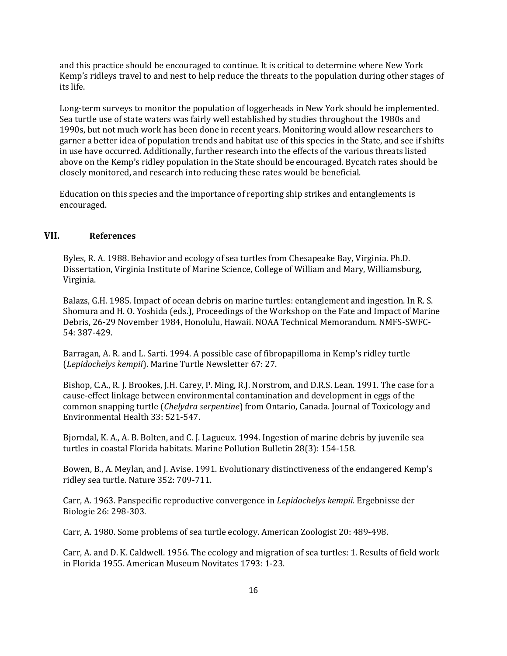and this practice should be encouraged to continue. It is critical to determine where New York Kemp's ridleys travel to and nest to help reduce the threats to the population during other stages of its life.

Long-term surveys to monitor the population of loggerheads in New York should be implemented. Sea turtle use of state waters was fairly well established by studies throughout the 1980s and 1990s, but not much work has been done in recent years. Monitoring would allow researchers to garner a better idea of population trends and habitat use of this species in the State, and see if shifts in use have occurred. Additionally, further research into the effects of the various threats listed above on the Kemp's ridley population in the State should be encouraged. Bycatch rates should be closely monitored, and research into reducing these rates would be beneficial.

Education on this species and the importance of reporting ship strikes and entanglements is encouraged.

### **VII. References**

Byles, R. A. 1988. Behavior and ecology of sea turtles from Chesapeake Bay, Virginia. Ph.D. Dissertation, Virginia Institute of Marine Science, College of William and Mary, Williamsburg, Virginia.

Balazs, G.H. 1985. Impact of ocean debris on marine turtles: entanglement and ingestion. In R. S. Shomura and H. O. Yoshida (eds.), Proceedings of the Workshop on the Fate and Impact of Marine Debris, 26-29 November 1984, Honolulu, Hawaii. NOAA Technical Memorandum. NMFS-SWFC-54: 387-429.

Barragan, A. R. and L. Sarti. 1994. A possible case of fibropapilloma in Kemp's ridley turtle (*Lepidochelys kempii*). Marine Turtle Newsletter 67: 27.

Bishop, C.A., R. J. Brookes, J.H. Carey, P. Ming, R.J. Norstrom, and D.R.S. Lean. 1991. The case for a cause-effect linkage between environmental contamination and development in eggs of the common snapping turtle (*Chelydra serpentine*) from Ontario, Canada. Journal of Toxicology and Environmental Health 33: 521-547.

Bjorndal, K. A., A. B. Bolten, and C. J. Lagueux. 1994. Ingestion of marine debris by juvenile sea turtles in coastal Florida habitats. Marine Pollution Bulletin 28(3): 154-158.

Bowen, B., A. Meylan, and J. Avise. 1991. Evolutionary distinctiveness of the endangered Kemp's ridley sea turtle. Nature 352: 709-711.

Carr, A. 1963. Panspecific reproductive convergence in *Lepidochelys kempii*. Ergebnisse der Biologie 26: 298-303.

Carr, A. 1980. Some problems of sea turtle ecology. American Zoologist 20: 489-498.

Carr, A. and D. K. Caldwell. 1956. The ecology and migration of sea turtles: 1. Results of field work in Florida 1955. American Museum Novitates 1793: 1-23.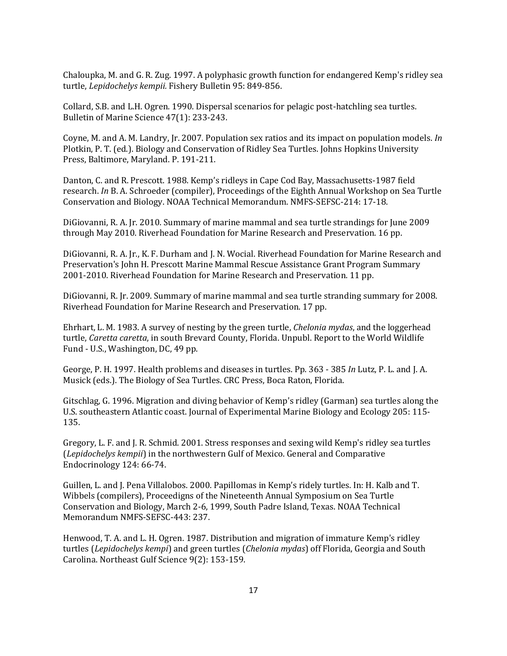Chaloupka, M. and G. R. Zug. 1997. A polyphasic growth function for endangered Kemp's ridley sea turtle, *Lepidochelys kempii.* Fishery Bulletin 95: 849-856.

Collard, S.B. and L.H. Ogren. 1990. Dispersal scenarios for pelagic post-hatchling sea turtles. Bulletin of Marine Science 47(1): 233-243.

Coyne, M. and A. M. Landry, Jr. 2007. Population sex ratios and its impact on population models. *In*  Plotkin, P. T. (ed.). Biology and Conservation of Ridley Sea Turtles. Johns Hopkins University Press, Baltimore, Maryland. P. 191-211.

Danton, C. and R. Prescott. 1988. Kemp's ridleys in Cape Cod Bay, Massachusetts-1987 field research. *In* B. A. Schroeder (compiler), Proceedings of the Eighth Annual Workshop on Sea Turtle Conservation and Biology. NOAA Technical Memorandum. NMFS-SEFSC-214: 17-18.

DiGiovanni, R. A. Jr. 2010. Summary of marine mammal and sea turtle strandings for June 2009 through May 2010. Riverhead Foundation for Marine Research and Preservation. 16 pp.

DiGiovanni, R. A. Jr., K. F. Durham and J. N. Wocial. Riverhead Foundation for Marine Research and Preservation's John H. Prescott Marine Mammal Rescue Assistance Grant Program Summary 2001-2010. Riverhead Foundation for Marine Research and Preservation. 11 pp.

DiGiovanni, R. Jr. 2009. Summary of marine mammal and sea turtle stranding summary for 2008. Riverhead Foundation for Marine Research and Preservation. 17 pp.

Ehrhart, L. M. 1983. A survey of nesting by the green turtle, *Chelonia mydas*, and the loggerhead turtle, *Caretta caretta*, in south Brevard County, Florida. Unpubl. Report to the World Wildlife Fund - U.S., Washington, DC, 49 pp.

George, P. H. 1997. Health problems and diseases in turtles. Pp. 363 - 385 *In* Lutz, P. L. and J. A. Musick (eds.). The Biology of Sea Turtles. CRC Press, Boca Raton, Florida.

Gitschlag, G. 1996. Migration and diving behavior of Kemp's ridley (Garman) sea turtles along the U.S. southeastern Atlantic coast. Journal of Experimental Marine Biology and Ecology 205: 115- 135.

Gregory, L. F. and J. R. Schmid. 2001. Stress responses and sexing wild Kemp's ridley sea turtles (*Lepidochelys kempii*) in the northwestern Gulf of Mexico. General and Comparative Endocrinology 124: 66-74.

Guillen, L. and J. Pena Villalobos. 2000. Papillomas in Kemp's ridely turtles. In: H. Kalb and T. Wibbels (compilers), Proceedigns of the Nineteenth Annual Symposium on Sea Turtle Conservation and Biology, March 2-6, 1999, South Padre Island, Texas. NOAA Technical Memorandum NMFS-SEFSC-443: 237.

Henwood, T. A. and L. H. Ogren. 1987. Distribution and migration of immature Kemp's ridley turtles (*Lepidochelys kempi*) and green turtles (*Chelonia mydas*) off Florida, Georgia and South Carolina. Northeast Gulf Science 9(2): 153-159.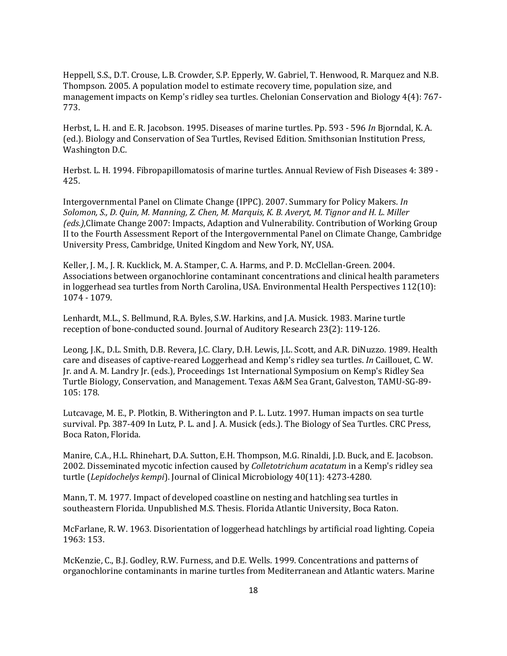Heppell, S.S., D.T. Crouse, L.B. Crowder, S.P. Epperly, W. Gabriel, T. Henwood, R. Marquez and N.B. Thompson. 2005. A population model to estimate recovery time, population size, and management impacts on Kemp's ridley sea turtles. Chelonian Conservation and Biology 4(4): 767- 773.

Herbst, L. H. and E. R. Jacobson. 1995. Diseases of marine turtles. Pp. 593 - 596 *In* Bjorndal, K. A. (ed.). Biology and Conservation of Sea Turtles, Revised Edition. Smithsonian Institution Press, Washington D.C.

Herbst. L. H. 1994. Fibropapillomatosis of marine turtles. Annual Review of Fish Diseases 4: 389 - 425.

Intergovernmental Panel on Climate Change (IPPC). 2007. Summary for Policy Makers. *In Solomon, S., D. Quin, M. Manning, Z. Chen, M. Marquis, K. B. Averyt, M. Tignor and H. L. Miller (eds.),*Climate Change 2007: Impacts, Adaption and Vulnerability. Contribution of Working Group II to the Fourth Assessment Report of the Intergovernmental Panel on Climate Change, Cambridge University Press, Cambridge, United Kingdom and New York, NY, USA.

Keller, J. M., J. R. Kucklick, M. A. Stamper, C. A. Harms, and P. D. McClellan-Green. 2004. Associations between organochlorine contaminant concentrations and clinical health parameters in loggerhead sea turtles from North Carolina, USA. Environmental Health Perspectives 112(10): 1074 - 1079.

Lenhardt, M.L., S. Bellmund, R.A. Byles, S.W. Harkins, and J.A. Musick. 1983. Marine turtle reception of bone-conducted sound. Journal of Auditory Research 23(2): 119-126.

Leong, J.K., D.L. Smith, D.B. Revera, J.C. Clary, D.H. Lewis, J.L. Scott, and A.R. DiNuzzo. 1989. Health care and diseases of captive-reared Loggerhead and Kemp's ridley sea turtles. *In* Caillouet, C. W. Jr. and A. M. Landry Jr. (eds.), Proceedings 1st International Symposium on Kemp's Ridley Sea Turtle Biology, Conservation, and Management. Texas A&M Sea Grant, Galveston, TAMU-SG-89- 105: 178.

Lutcavage, M. E., P. Plotkin, B. Witherington and P. L. Lutz. 1997. Human impacts on sea turtle survival. Pp. 387-409 In Lutz, P. L. and J. A. Musick (eds.). The Biology of Sea Turtles. CRC Press, Boca Raton, Florida.

Manire, C.A., H.L. Rhinehart, D.A. Sutton, E.H. Thompson, M.G. Rinaldi, J.D. Buck, and E. Jacobson. 2002. Disseminated mycotic infection caused by *Colletotrichum acatatum* in a Kemp's ridley sea turtle (*Lepidochelys kempi*). Journal of Clinical Microbiology 40(11): 4273-4280.

Mann, T. M. 1977. Impact of developed coastline on nesting and hatchling sea turtles in southeastern Florida. Unpublished M.S. Thesis. Florida Atlantic University, Boca Raton.

McFarlane, R. W. 1963. Disorientation of loggerhead hatchlings by artificial road lighting. Copeia 1963: 153.

McKenzie, C., B.J. Godley, R.W. Furness, and D.E. Wells. 1999. Concentrations and patterns of organochlorine contaminants in marine turtles from Mediterranean and Atlantic waters. Marine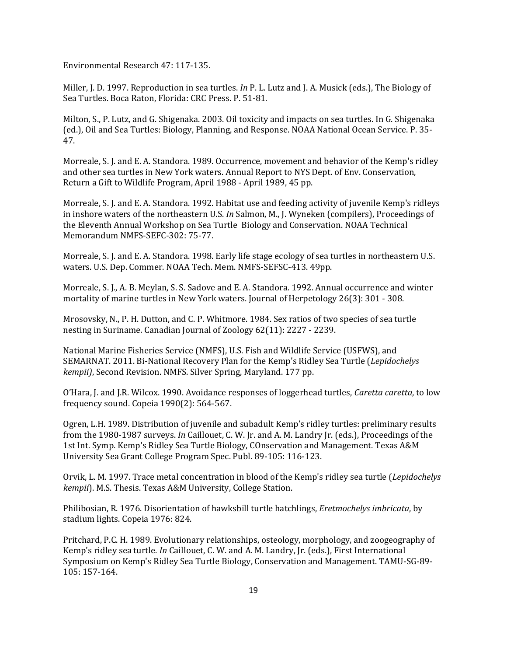Environmental Research 47: 117-135.

Miller, J. D. 1997. Reproduction in sea turtles. *In* P. L. Lutz and J. A. Musick (eds.), The Biology of Sea Turtles. Boca Raton, Florida: CRC Press. P. 51-81.

Milton, S., P. Lutz, and G. Shigenaka. 2003. Oil toxicity and impacts on sea turtles. In G. Shigenaka (ed.), Oil and Sea Turtles: Biology, Planning, and Response. NOAA National Ocean Service. P. 35- 47.

Morreale, S. J. and E. A. Standora. 1989. Occurrence, movement and behavior of the Kemp's ridley and other sea turtles in New York waters. Annual Report to NYS Dept. of Env. Conservation, Return a Gift to Wildlife Program, April 1988 - April 1989, 45 pp.

Morreale, S. J. and E. A. Standora. 1992. Habitat use and feeding activity of juvenile Kemp's ridleys in inshore waters of the northeastern U.S. *In* Salmon, M., J. Wyneken (compilers), Proceedings of the Eleventh Annual Workshop on Sea Turtle Biology and Conservation. NOAA Technical Memorandum NMFS-SEFC-302: 75-77.

Morreale, S. J. and E. A. Standora. 1998. Early life stage ecology of sea turtles in northeastern U.S. waters. U.S. Dep. Commer. NOAA Tech. Mem. NMFS-SEFSC-413. 49pp.

Morreale, S. J., A. B. Meylan, S. S. Sadove and E. A. Standora. 1992. Annual occurrence and winter mortality of marine turtles in New York waters. Journal of Herpetology 26(3): 301 - 308.

Mrosovsky, N., P. H. Dutton, and C. P. Whitmore. 1984. Sex ratios of two species of sea turtle nesting in Suriname. Canadian Journal of Zoology 62(11): 2227 - 2239.

National Marine Fisheries Service (NMFS), U.S. Fish and Wildlife Service (USFWS), and SEMARNAT. 2011. Bi-National Recovery Plan for the Kemp's Ridley Sea Turtle (*Lepidochelys kempii)*, Second Revision. NMFS. Silver Spring, Maryland. 177 pp.

O'Hara, J. and J.R. Wilcox. 1990. Avoidance responses of loggerhead turtles, *Caretta caretta*, to low frequency sound. Copeia 1990(2): 564-567.

Ogren, L.H. 1989. Distribution of juvenile and subadult Kemp's ridley turtles: preliminary results from the 1980-1987 surveys. *In* Caillouet, C. W. Jr. and A. M. Landry Jr. (eds.), Proceedings of the 1st Int. Symp. Kemp's Ridley Sea Turtle Biology, COnservation and Management. Texas A&M University Sea Grant College Program Spec. Publ. 89-105: 116-123.

Orvik, L. M. 1997. Trace metal concentration in blood of the Kemp's ridley sea turtle (*Lepidochelys kempii*). M.S. Thesis. Texas A&M University, College Station.

Philibosian, R. 1976. Disorientation of hawksbill turtle hatchlings, *Eretmochelys imbricata*, by stadium lights. Copeia 1976: 824.

Pritchard, P.C. H. 1989. Evolutionary relationships, osteology, morphology, and zoogeography of Kemp's ridley sea turtle. *In* Caillouet, C. W. and A. M. Landry, Jr. (eds.), First International Symposium on Kemp's Ridley Sea Turtle Biology, Conservation and Management. TAMU-SG-89- 105: 157-164.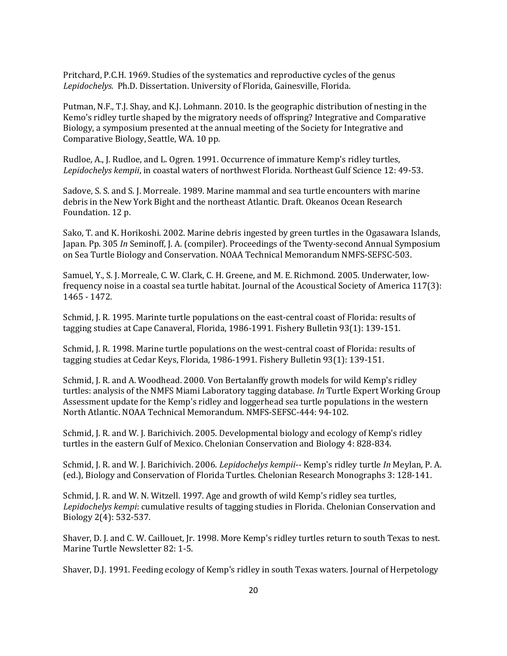Pritchard, P.C.H. 1969. Studies of the systematics and reproductive cycles of the genus *Lepidochelys.* Ph.D. Dissertation. University of Florida, Gainesville, Florida.

Putman, N.F., T.J. Shay, and K.J. Lohmann. 2010. Is the geographic distribution of nesting in the Kemo's ridley turtle shaped by the migratory needs of offspring? Integrative and Comparative Biology, a symposium presented at the annual meeting of the Society for Integrative and Comparative Biology, Seattle, WA. 10 pp.

Rudloe, A., J. Rudloe, and L. Ogren. 1991. Occurrence of immature Kemp's ridley turtles, *Lepidochelys kempii*, in coastal waters of northwest Florida. Northeast Gulf Science 12: 49-53.

Sadove, S. S. and S. J. Morreale. 1989. Marine mammal and sea turtle encounters with marine debris in the New York Bight and the northeast Atlantic. Draft. Okeanos Ocean Research Foundation. 12 p.

Sako, T. and K. Horikoshi. 2002. Marine debris ingested by green turtles in the Ogasawara Islands, Japan. Pp. 305 *In* Seminoff, J. A. (compiler). Proceedings of the Twenty-second Annual Symposium on Sea Turtle Biology and Conservation. NOAA Technical Memorandum NMFS-SEFSC-503.

Samuel, Y., S. J. Morreale, C. W. Clark, C. H. Greene, and M. E. Richmond. 2005. Underwater, lowfrequency noise in a coastal sea turtle habitat. Journal of the Acoustical Society of America 117(3): 1465 - 1472.

Schmid, J. R. 1995. Marinte turtle populations on the east-central coast of Florida: results of tagging studies at Cape Canaveral, Florida, 1986-1991. Fishery Bulletin 93(1): 139-151.

Schmid, J. R. 1998. Marine turtle populations on the west-central coast of Florida: results of tagging studies at Cedar Keys, Florida, 1986-1991. Fishery Bulletin 93(1): 139-151.

Schmid, J. R. and A. Woodhead. 2000. Von Bertalanffy growth models for wild Kemp's ridley turtles: analysis of the NMFS Miami Laboratory tagging database. *In* Turtle Expert Working Group Assessment update for the Kemp's ridley and loggerhead sea turtle populations in the western North Atlantic. NOAA Technical Memorandum. NMFS-SEFSC-444: 94-102.

Schmid, J. R. and W. J. Barichivich. 2005. Developmental biology and ecology of Kemp's ridley turtles in the eastern Gulf of Mexico. Chelonian Conservation and Biology 4: 828-834.

Schmid, J. R. and W. J. Barichivich. 2006. *Lepidochelys kempii*-- Kemp's ridley turtle *In* Meylan, P. A. (ed.), Biology and Conservation of Florida Turtles. Chelonian Research Monographs 3: 128-141.

Schmid, J. R. and W. N. Witzell. 1997. Age and growth of wild Kemp's ridley sea turtles, *Lepidochelys kempi*: cumulative results of tagging studies in Florida. Chelonian Conservation and Biology 2(4): 532-537.

Shaver, D. J. and C. W. Caillouet, Jr. 1998. More Kemp's ridley turtles return to south Texas to nest. Marine Turtle Newsletter 82: 1-5.

Shaver, D.J. 1991. Feeding ecology of Kemp's ridley in south Texas waters. Journal of Herpetology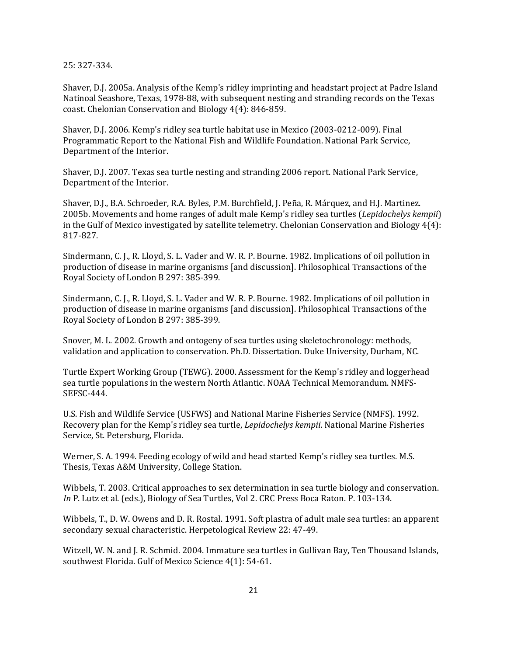25: 327-334.

Shaver, D.J. 2005a. Analysis of the Kemp's ridley imprinting and headstart project at Padre Island Natinoal Seashore, Texas, 1978-88, with subsequent nesting and stranding records on the Texas coast. Chelonian Conservation and Biology 4(4): 846-859.

Shaver, D.J. 2006. Kemp's ridley sea turtle habitat use in Mexico (2003-0212-009). Final Programmatic Report to the National Fish and Wildlife Foundation. National Park Service, Department of the Interior.

Shaver, D.J. 2007. Texas sea turtle nesting and stranding 2006 report. National Park Service, Department of the Interior.

Shaver, D.J., B.A. Schroeder, R.A. Byles, P.M. Burchfield, J. Peña, R. Márquez, and H.J. Martinez. 2005b. Movements and home ranges of adult male Kemp's ridley sea turtles (*Lepidochelys kempii*) in the Gulf of Mexico investigated by satellite telemetry. Chelonian Conservation and Biology 4(4): 817-827.

Sindermann, C. J., R. Lloyd, S. L. Vader and W. R. P. Bourne. 1982. Implications of oil pollution in production of disease in marine organisms [and discussion]. Philosophical Transactions of the Royal Society of London B 297: 385-399.

Sindermann, C. J., R. Lloyd, S. L. Vader and W. R. P. Bourne. 1982. Implications of oil pollution in production of disease in marine organisms [and discussion]. Philosophical Transactions of the Royal Society of London B 297: 385-399.

Snover, M. L. 2002. Growth and ontogeny of sea turtles using skeletochronology: methods, validation and application to conservation. Ph.D. Dissertation. Duke University, Durham, NC.

Turtle Expert Working Group (TEWG). 2000. Assessment for the Kemp's ridley and loggerhead sea turtle populations in the western North Atlantic. NOAA Technical Memorandum. NMFS-SEFSC-444.

U.S. Fish and Wildlife Service (USFWS) and National Marine Fisheries Service (NMFS). 1992. Recovery plan for the Kemp's ridley sea turtle, *Lepidochelys kempii*. National Marine Fisheries Service, St. Petersburg, Florida.

Werner, S. A. 1994. Feeding ecology of wild and head started Kemp's ridley sea turtles. M.S. Thesis, Texas A&M University, College Station.

Wibbels, T. 2003. Critical approaches to sex determination in sea turtle biology and conservation. *In* P. Lutz et al. (eds.), Biology of Sea Turtles, Vol 2. CRC Press Boca Raton. P. 103-134.

Wibbels, T., D. W. Owens and D. R. Rostal. 1991. Soft plastra of adult male sea turtles: an apparent secondary sexual characteristic. Herpetological Review 22: 47-49.

Witzell, W. N. and J. R. Schmid. 2004. Immature sea turtles in Gullivan Bay, Ten Thousand Islands, southwest Florida. Gulf of Mexico Science 4(1): 54-61.